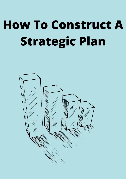# **How To Construct A Strategic Plan**

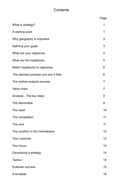## **Contents**

|                                       | Page           |
|---------------------------------------|----------------|
| What is strategy?                     | 1              |
| A starting point                      | 1              |
| Why geography is important            | 3              |
| Defining your goals                   | 3              |
| What are your objectives              | 4              |
| What are the roadblocks               | 5              |
| Match roadblocks to objectives        | 6              |
| The standard process and why it fails | 6              |
| The market analysis process           | $\overline{7}$ |
| Value chain                           | $\overline{7}$ |
| Analysis - The key steps              | 9              |
| The deliverable                       | 9              |
| The need                              | 10             |
| The competition                       | 11             |
| The core                              | 11             |
| Your position in the marketplace      | 12             |
| Your customer                         | 13             |
| Your focus                            | 13             |
| Developing a strategy                 | 14             |
| <b>Tactics</b>                        | 14             |
| <b>Evaluate success</b>               | 15             |
| A template                            | 16             |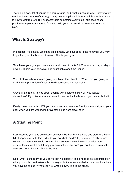There is an awful lot of confusion about what is (and what is not) strategy. Unfortunately, much of the coverage of strategy is way over complicated. In reality, it is simply a guide to how to get from A to B. I suggest that is something every small business needs. I provide a simple framework to follow to build your own small business strategy and plan.

#### **What Is Strategy?**

In essence, it's simple. Let's take an example. Let's suppose in the next year you want to publish your first book on Amazon. That is your goal.

To achieve your goal you calculate you will need to write 2,000 words per day,six days a week. That is your objective. It is quantifiable and time-limited.

Your strategy is how you are going to achieve that objective. Where are you going to work? What proportion of your time will you spend on research?

Crucially, a strategy is also about dealing with obstacles. How will you lockout distractions? If you know you are prone to procrastination how will you deal with that?

Finally, there are tactics. Will you use paper or a computer? Will you use a sign on your door when you are working to prevent the kids from breaking in?

## **A Starting Point**

Let's assume you have an existing business. Rather than sit there and stare at a blank bit of paper, start with this - why do you do what you do? If you are a small business owner the alternative would be to work for someone else. It would be a lot more secure, less stressful and it may pay as much so why don't you do that - there must be a reason. Write it down. This is the why.

Next, what is it that drives you day to day? Is it family, is it a need to be recognised for what you do, is it self esteem, is it money or is it you have ended up in a position where you have no choice? Whatever it is, write it down. This is the driver.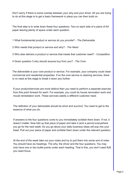Don't worry if there is some overlap between your why and your driver. All you are trying to do at this stage is to get a basic framework in place you can then build on.

The final step is to write down these four questions. Two on each side of a piece of A4 paper leaving plenty of space under each question.

1 What fundamental product or service do you provide? - *The Deliverable*

2 Who needs that product or service and why? - *The Need*

3 Who else delivers a product or service that meets that customer need? - *Competition*

4 Given question 3 why should anyone buy from you? - *The Core*

The deliverable is your core product or service. For example, your company could clean commercial and residential properties. If so the core service is cleaning services, there is no need at this stage to break it down any further.

If your product/services are more distinct then you need to perform a separate exercise from this point forward for each. For example, you could do house renovation work and mould remediation work. These services satisfy a different customer need.

The definition of your deliverable should be short and succinct. You need to get to the essence of what you do.

If answers to the four questions come to you immediately scribble them down. If not, it doesn't matter. Now fold up that piece of paper and take it (and a pencil) everywhere you go for the next week. As you go about your daily business ideas will pop into your head. Pull out your piece of paper and scribble them down under the relevant question.

At the end of the week take out your notes and try to pull them into some sort of order. You should have six headings. The why, the driver and the four questions. You may only have one or two bullet points under each heading. That is fine, you don't need fluff, you need focus.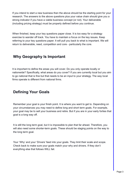If you intend to start a new business then the above should be the starting point for your research. The answers to the above questions plus your value chain should give you a strong indicator if you have a viable business concept (or not). Your deliverable (including pricing strategy) must be properly defined before you continue.

When finished, keep your key questions paper close. It is too easy for a strategy exercise to wander off track. You have to maintain a focus on the key issues. Keep referring to your key questions paper. It will pull you back to what is important. We will return to deliverable, need, competition and core - particularly the core.

## **Why Geography Is Important**

It is important to define the areas you will cover. Do you only operate locally or nationwide? Specifically, what areas do you cover? If you are currently local but you aim to go national that is fine but that needs to be an input to your strategy. The way local firms operate is different from national firms.

## **Defining Your Goals**

Remember your goal is your finish point. It is where you want to get to. Depending on your circumstances you may need to define long and short term goals. For example, your goal may be to sell your business and retire. But if you are in your early forties that goal is a long way off.

It is still the long term goal, but it is impossible to plan that far ahead. Therefore, you will also need some shorter-term goals. These should be staging points on the way to the long term goal.

Your 'Why' and your 'Drivers' feed into your goals. They limit their scale and scope. Check back to make sure your goals match your why and drivers. If they don't everything else that follows WILL fail.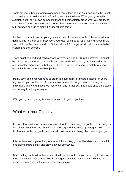Goals are more than statements and need some fleshing out. Your goal might be to sell your business but sell it for £1 or £1m? I guess it is the latter. Write your goals with sufficient detail so you can go back to them and immediately grasp what you are trying to achieve. You do not need lots of detail (that comes with the next stage - objectives) but you need enough to make it an identifiable target.

It is fine to be ambitious but your goals also need to be reasonable. Otherwise, all your goals will do is knock your motivation. Your goal could be to reach £2m turnover in two years. If in the first year you do £10k then all the £2m target will do is knock your belief system and self-esteem.

There might be good and valid reasons why you only do £10K in the first year. It might be part of the plan. Amazon made huge losses early in its history but they had a plan (and investors signed up to that plan). The point is your plan should match with your (quantifiable and time-limited) objectives.

Really term goals you will need to break into sub-goals. Standard practice ten years ago was to plan for the next five years. Now a realistic target is two to three years maximum. The world moves too fast to plan any further out. Sub-goals should be steps on the way to a long term goal.

With your goals in place, it's time to move on to your objectives.

### What Are Your Objectives

In broad terms what are you going to need to do to achieve your goals? These are your objectives. They must be quantifiable (1000 of) and time-limited (by August 2022). It is best to start with your goals and cascade downwards, defining objectives as you go.

It takes time to complete this process and it is unlikely you will be able to complete it in one sitting. Make a start and draw out your objectives.

Keep editing until it all makes sense. Don't worry about how you are going to achieve those objectives, that comes next. Do not get drawn into writing down how you will achieve something, that is a tactic, not an objective.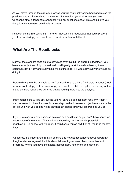As you move through the strategy process you will continually come back and revise the previous step until everything matches up. If you either get stuck or feel you are wandering off at a tangent refer back to your six questions sheet. This should give you the guidance you need on what is important.

Next comes the interesting bit. There will inevitably be roadblocks that could prevent you from achieving your objectives. How will you deal with them?

## **What Are The Roadblocks**

Many of the standard texts on strategy gloss over this bit (or ignore it altogether). You have your objectives. All you need to do is diligently work towards achieving those objectives day by day and everything will be fine (not). If it was easy everyone would be doing it.

Before diving into the analysis stage. You need to take a hard (and brutally honest) look at what could stop you from achieving your objectives. Take a top-level view only at this stage as more roadblocks will drop out as you dig more into the analysis.

Many roadblocks will be obvious as you will bang up against them regularly. Again it can be useful to chew this over for a few days. Write down each objective and carry the list around with you adding notes on what key issues limit your progress as you go.

If you are starting a new business this step can be difficult as you don't have hands-on experience of the market. That said, you should try hard to identify potential roadblocks. Be honest with yourself. It could save you an awful lot of time (and money) later.

Of course, it is important to remain positive and not get despondent about apparently tough obstacles. Against that it is also vital to not gloss over obvious roadblocks to progress. Where you have limitations, accept them, note them and move on.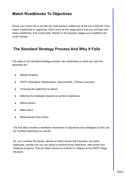### **Match Roadblocks To Objectives**

Knock your notes into a list with the most serious roadblocks at the top of that list. Now match roadblocks to objectives. Don't worry at this stage about how you will deal with these roadblocks, that comes later. Based on the analysis stages your roadblock list could change.

## **The Standard Strategy Process And Why It Fails**

The steps in the standard strategy process vary depending on what you read but generally are:

- Market Analysis.
- SWOT (Strengths, Weaknesses, Opportunities, Threats) summary.
- Choosing the objectives to attack.
- Defining the strategies required to achieve objectives.
- Define tactics.
- Make plans.
- Measurement and review.

The last step includes a feedback mechanism to objectives and strategies so they can be modified depending on results.

So, you consider the issues, decide on which issues are important, set some objectives, decide how you are going to achieve those objectives, take action and measure progress. This all makes sense but it tends to collapse at the SWOT stage because: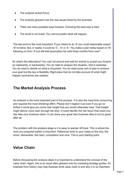- The analysis lacked focus.
- The analysis glossed over the real issues faced by the business.
- There are many possible ways forward. Choosing the best way is hard
- The world is not linear. You cannot predict what will happen.

The last point is the most important. If you intend to do 'A' you could reasonably expect 'B' to follow. But, in reality, it could be 'C', 'D' or 'E.' You make a plan today based on 'B' following on from 'A' but will that assumption be valid three months from now?

So what's the alternative? You can't sit around and wait for events to propel you forward (or sidewards, or backwards). You do need to analyse the situation, that is essential. You do need to decide on what is important. You do need some sort of plan to achieve your goal but the key is flexibility. Rigid plans that do not take account of what might happen (scenarios) are useless.

#### **The Market Analysis Process**

An analysis is the most important part of the process. It is also the most time consuming and requires the most (thinking) effort. Please don't neglect it as even if you go no further it could give you some real insight that you would otherwise miss. That insight might deliver more cash through the door. It could identify the risk factor that could one day take your business down. It can show your great new business idea is not so great after all.

The problem with the analysis stage is it is easy to wander off track. This is where the work you prepared earlier is important. Reference back to your notes on the why, the driver, deliverable, the need, competition and core. This is your starting point.

#### **Value Chain**

Before discussing the analysis steps it is important to understand the concept of the value chain. Again, this is an issue often glossed over by marketing strategy guides. An example from history may help illustrate what value chain is and why it is so important.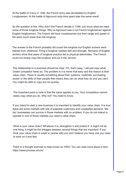At the battle of Crecy in 1346, the French army was devastated by English Longbowmen. At the battle of Agincourt sixty-nine years later the same result.

So the question is this. Why didn't the French decide in 1346, you know what we need some of those longbow things. Why at Agincourt was it not French longbowman against English longbowman. The French did have crossbowmen but their range and speed of fire were much lower than the longbow.

The answer is the French probably did covert the longbow but English archers were trained from childhood. Firing a longbow needed skill and strength. Remains of English archers show that years of longbow practice led to physical deformities. The French could not simply copy the longbow and put it into service.

The relationship to a business should be clear. Oh, that's easy, I will just copy what (insert competitor here) do. The problem is it is never that easy and the reason is their value chain. There is usually something about their systems, materials, purchasing power or the skills of their people that means they can do what they do and you can't. You might be able to copy but not quickly.

The important point to note is that the same applies to you. Your competitors cannot easily copy what you do. Why not? You need to know.

If you intend to start a new business it is important to identify your value chain. It is true there are some markets with lots of potential customers and unsatisfied demand. 'Me too' businesses can survive in those markets with no problem. If you do not intend to operate in one of those markets you need a value chain.

What is your value chain? Whatever it is, strengthen it and protect it. It might not be one thing, it might be the linkages between several things that are important. If you think your value chain is weak or (worse still) you don't believe you have one you need to work on it and fast.

There is a thought exercise to help known as VRIO. You can read more about it here https://www.process.st/vrio/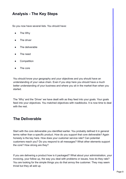## **Analysis - The Key Steps**

So you now have several lists. You should have:

- The Why
- The driver
- The deliverable
- The need
- **Competition**
- The core

You should know your geography and your objectives and you should have an understanding of your value chain. Even if you stop here you should have a much better understanding of your business and where you sit in the market than when you started.

The 'Why' and the 'Driver' we have dealt with as they feed into your goals. Your goals feed into your objectives. You matched objectives with roadblocks. It is now time to deal with the rest.

### **The Deliverable**

Start with the core deliverable you identified earlier. You probably defined it in general terms rather than a specific product. How do you support that core deliverable? Again honesty is the key here. How does your customer service rate? Can potential customers reach you? Do you respond to all messages? What other elements support the core? How strong are they?

If you are delivering a product how is it packaged? What about your administration, your invoicing, your follow up, the way you deal with problems or issues, how do they rate? You are looking for the simple things you do that annoy the customer. They may seem trivial but they all add up.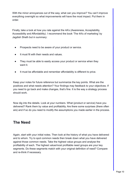With the minor annoyances out of the way, what can you improve? You can't improve everything overnight so what improvements will have the most impact. Put them in order.

Finally, take a look at how you rate against the 4A's (Awareness, Acceptability, Accessibility and Affordability). I recommend the book 'The 4A's of marketing' by Jagdish Sheth but in summary:

- Prospects need to be aware of your product or service.
- It must fit with their needs and values.
- They must be able to easily access your product or service when they want it.
- It must be affordable and remember affordability is different to price.

Keep your notes for future reference but summarize the key points. What are the positives and what needs attention? Your findings may feedback to your objectives. If you need to go back and make changes, that's fine. It is the way a strategy process should work.

Now dig into the details. Look at your numbers. What (product or service) have you delivered? Rank them by value and profitability. Are there some surprises (there often are) and if so do you need to modify the assumptions you made earlier in the process.

## **The Need**

Again, start with your initial notes. Then look at the history of what you have delivered and to whom. Try to spot common needs then break down what you have delivered against those common needs. Take the highest value groups and analyse the profitability of each. The highest value/most profitable need groups are your key segments. Do these segments match with your original definition of need? Compare and re-think if necessary.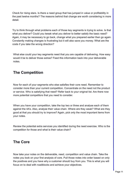Check for rising stars. Is there a need group that has jumped in value or profitability in the past twelve months? The reasons behind that change are worth considering in more detail.

Try to think through what problems each of those key segments is trying to solve. Is that what you deliver? Could you tweak what you deliver to better satisfy the basic need? Again, it may be necessary to go back, change what you prepared earlier then go again. Constantly making changes is frustrating but it will also save you money. What are the costs if you take the wrong direction?

What else could your key segments need that you are capable of delivering. How easy would it be to deliver those extras? Feed this information back into your deliverable notes.

## **The Competition**

Now for each of your segments who else satisfies their core need. Remember to consider more than your current competition. Concentrate on the need not the product or service. Who is satisfying that need? Refer back to your original list. Are there now more potential competitors that you need to consider.

When you have your competition, take the top two or three and analyse each of them against the 4A's. Also, analyse their value chain. Where are they weak? What are they good at that you should try to improve? Again, pick only the most important items from your notes.

Review the potential extra services you identified during the need exercise. Who is the competition for those and what is their value chain?

### **The Core**

Now take your notes on the deliverable, need, competition and value chain. Take the notes you took on your first analysis of core. Pull those notes into order based on only the positives and you have why a customer should buy from you. This is what you will focus on to deal with roadblocks and achieve your objectives.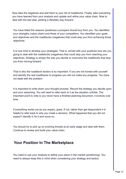Now take the negatives and add them to your list of roadblocks. Finally, take everything you have learned from your analysis and update and refine your value chain. Now to deal with the last step, plotting a (flexible) way forward.

You have listed the reasons (positives) a prospect should buy from you. You identified your strengths (value chain) and those of your competitors. You identified your goals and objectives and the roadblocks (negatives) that could stop you from achieving those objectives.

It is now time to develop your strategies. That is, armed with your positives how are you going to deal with the roadblocks (negatives) that could stop you from reaching your objectives. Strategy is simply the way you decide to overcome the roadblocks that stop you from moving forward.

That is why the roadblock section is so important. If you are not honest with yourself and identify the real roadblocks to progress you will not make any progress. You have not dealt with the problem.

It is important to write down your thought process. Record the strategy you decide upon and your reasoning. You will need to refer back to it as the situation unfolds. The important point to note is you never have a finished planning document, it evolves over time.

If everything works out as you expect, great. If not, rather than get despondent it is helpful to refer back to why you made a decision. What happened that you did not expect? Identify it, fix it and move on.

You should try to pick up on evolving threats at an early stage and deal with them. Continue to review and build your value chain.

#### **Your Position In The Marketplace**

You need to use your analysis to define your place in the market (positioning). You need to always keep this in mind when considering your strategy and tactics.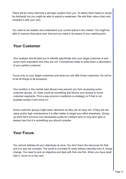There will be many that hold a stronger position than you. To attack them head-on would be foolhardy but you might be able to exploit a weakness. Re-visit their value chain and compare it with your own.

You need to be realistic and understand your current place in the market. You might be able to improve that place over time but you need to be aware of your starting point.

## **Your Customer**

Your analysis should lead you to identify specifically who your target customer is and (even more important) who they are not. It sometimes helps to write down a description of your perfect customer.

Focus only on your target customers and what you will offer those customers. Do not try to be all things to all prospects.

Your position in the market (see above) may prevent you from accessing some customer groups. Or, there could be something that blocks your access to some customer segments. Find a way around a roadblock (a strategy) or if that is not possible accept it and move on.

Some customer groups might seem attractive as they are an easy win. If they are low value and/or high maintenance it is often better to target your effort elsewhere. Giving up short term turnover (not necessarily profit) for medium term to long term gain is always hard but it is something you should consider.

### **Your Focus**

You cannot address all your objectives at once. You don't have the resources for that and it is way too complex. The world is not linear B rarely follows naturally from A, things change. You need to pick an objective and deal with that one first. When you have dealt with it, move on to the next.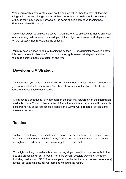When you reach a natural stop, start on the next objective, then the next. All the time things will move and change. If you set them correctly your goals should not change. Although they may need minor tweaks, the same should apply to your objectives. Everything else will change.

You cannot expect to achieve objective A, then move on to objective B, then C until your goals are magically achieved. Instead, you pick an objective, develop a strategy, deliver on that strategy then re-evaluate the situation.

You may have planned to deal with objective A, then B. But circumstances could dictate it is best to move to objective D. It is possible to juggle several strategies (and the tactics to achieve those strategies) at one time.

## **Developing A Strategy**

You know what you have to achieve. You know what tools you have in your armoury and you know what stands in your way. You should have some gut feel on the best way forward and you should not ignore it.

A strategy is a best guess (a hypothesis) on the best way forward given the information available to you. You don't have perfect information and the environment will constantly shift around you so all you can do is decide on a way forward, record it, act on it and measure the result.

### **Tactics**

Tactics are the tools you decide to use to deliver on your strategy. For example, if your objective is to increase sales by 'X'% by 'Y' date and the roadblock is you don't have enough sales leads you will need a strategy to overcome that.

You might decide your website is so convincing all you need to do is drive traffic to the site and prospects will get in touch. There are several possible ways to drive traffic including paid ads and SEO. These are your potential tactics. You choose one (or more) tactics, set expectations, deliver them and measure the result.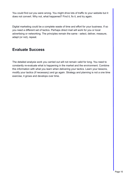You could find out you were wrong. You might drive lots of traffic to your website but it does not convert. Why not, what happened? Find it, fix it, and try again.

Digital marketing could be a complete waste of time and effort for your business. If so you need a different set of tactics. Perhaps direct mail will work for you or local advertising or networking. The principles remain the same - select, deliver, measure, adapt (or not), repeat.

## **Evaluate Success**

The detailed analysis work you carried out will not remain valid for long. You need to constantly re-evaluate what is happening in the market and the environment. Combine this information with what you learn when delivering your tactics. Learn your lessons, modify your tactics (if necessary) and go again. Strategy and planning is not a one time exercise, it grows and develops over time.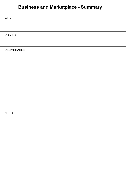## **Business and Marketplace - Summary**

WHY

DRIVER

DELIVERABLE

NEED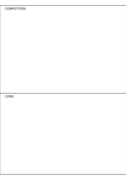#### **COMPETITION**

CORE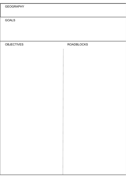GOALS

OBJECTIVES ROADBLOCKS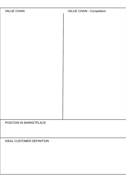| <b>VALUE CHAIN</b> | <b>VALUE CHAIN - Competitors</b> |
|--------------------|----------------------------------|
|                    |                                  |
|                    |                                  |
|                    |                                  |
|                    |                                  |
|                    |                                  |
|                    |                                  |
|                    |                                  |
|                    |                                  |
|                    |                                  |
|                    |                                  |
|                    |                                  |
|                    |                                  |
|                    |                                  |
|                    |                                  |
|                    |                                  |
|                    |                                  |

POSITION IN MARKETPLACE

IDEAL CUSTOMER DEFINITION